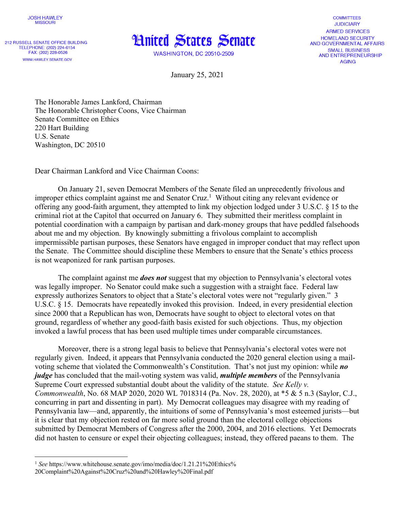

212 RUSSELL SENATE OFFICE BUILDING TELEPHONE: (202) 224-6154 FAX: (202) 228-0526 WWW.HAWLEY.SENATE.GOV



**WASHINGTON, DC 20510-2509** 

**COMMITTEES JUDICIARY ARMED SERVICES HOMELAND SECURITY** AND GOVERNMENTAL AFFAIRS **SMALL BUSINESS** AND ENTREPRENEURSHIP **AGING** 

January 25, 2021

The Honorable James Lankford, Chairman The Honorable Christopher Coons, Vice Chairman Senate Committee on Ethics 220 Hart Building U.S. Senate Washington, DC 20510

Dear Chairman Lankford and Vice Chairman Coons:

On January 21, seven Democrat Members of the Senate filed an unprecedently frivolous and improper ethics complaint against me and Senator Cruz.<sup>1</sup> Without citing any relevant evidence or offering any good-faith argument, they attempted to link my objection lodged under 3 U.S.C. § 15 to the criminal riot at the Capitol that occurred on January 6. They submitted their meritless complaint in potential coordination with a campaign by partisan and dark-money groups that have peddled falsehoods about me and my objection. By knowingly submitting a frivolous complaint to accomplish impermissible partisan purposes, these Senators have engaged in improper conduct that may reflect upon the Senate. The Committee should discipline these Members to ensure that the Senate's ethics process is not weaponized for rank partisan purposes.

The complaint against me *does not* suggest that my objection to Pennsylvania's electoral votes was legally improper. No Senator could make such a suggestion with a straight face. Federal law expressly authorizes Senators to object that a State's electoral votes were not "regularly given." 3 U.S.C. § 15. Democrats have repeatedly invoked this provision. Indeed, in every presidential election since 2000 that a Republican has won, Democrats have sought to object to electoral votes on that ground, regardless of whether any good-faith basis existed for such objections. Thus, my objection invoked a lawful process that has been used multiple times under comparable circumstances.

Moreover, there is a strong legal basis to believe that Pennsylvania's electoral votes were not regularly given. Indeed, it appears that Pennsylvania conducted the 2020 general election using a mailvoting scheme that violated the Commonwealth's Constitution. That's not just my opinion: while *no judge* has concluded that the mail-voting system was valid, *multiple members* of the Pennsylvania Supreme Court expressed substantial doubt about the validity of the statute. *See Kelly v. Commonwealth*, No. 68 MAP 2020, 2020 WL 7018314 (Pa. Nov. 28, 2020), at \*5 & 5 n.3 (Saylor, C.J., concurring in part and dissenting in part). My Democrat colleagues may disagree with my reading of Pennsylvania law—and, apparently, the intuitions of some of Pennsylvania's most esteemed jurists—but it is clear that my objection rested on far more solid ground than the electoral college objections submitted by Democrat Members of Congress after the 2000, 2004, and 2016 elections. Yet Democrats did not hasten to censure or expel their objecting colleagues; instead, they offered paeans to them. The

<sup>&</sup>lt;sup>1</sup> See https://www.whitehouse.senate.gov/imo/media/doc/1.21.21%20Ethics%

<sup>20</sup>Complaint%20Against%20Cruz%20and%20Hawley%20Final.pdf